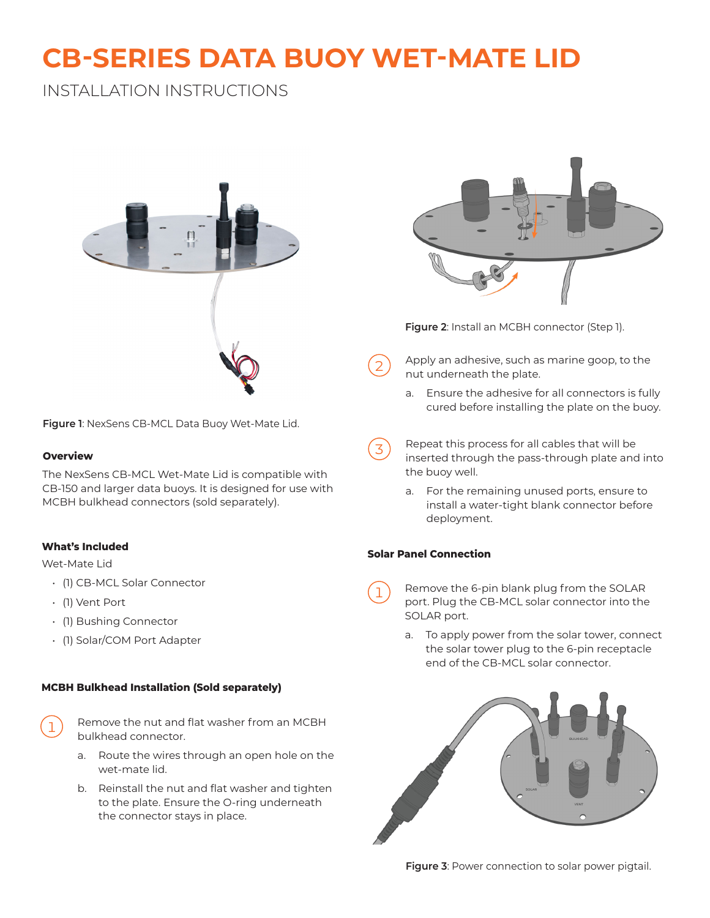# **CB-SERIES DATA BUOY WET-MATE LID**

## INSTALLATION INSTRUCTIONS



**Figure 1**: NexSens CB-MCL Data Buoy Wet-Mate Lid.

#### **Overview**

The NexSens CB-MCL Wet-Mate Lid is compatible with CB-150 and larger data buoys. It is designed for use with MCBH bulkhead connectors (sold separately).

#### **What's Included**

Wet-Mate Lid

- (1) CB-MCL Solar Connector
- (1) Vent Port
- (1) Bushing Connector
- (1) Solar/COM Port Adapter

#### **MCBH Bulkhead Installation (Sold separately)**



1 Remove the nut and flat washer from an MCBH bulkhead connector.

- a. Route the wires through an open hole on the wet-mate lid.
- b. Reinstall the nut and flat washer and tighten to the plate. Ensure the O-ring underneath the connector stays in place.



**Figure 2**: Install an MCBH connector (Step 1).

- Apply an adhesive, such as marine goop, to the nut underneath the plate.
	- a. Ensure the adhesive for all connectors is fully cured before installing the plate on the buoy.
- $\overline{3}$  Repeat this process for all cables that will be inserted through the pass-through plate and into the buoy well.
	- a. For the remaining unused ports, ensure to install a water-tight blank connector before deployment.

#### **Solar Panel Connection**

- Remove the 6-pin blank plug from the SOLAR port. Plug the CB-MCL solar connector into the SOLAR port.
	- a. To apply power from the solar tower, connect the solar tower plug to the 6-pin receptacle end of the CB-MCL solar connector.



**Figure 3: Power connection to solar power pigtail.**